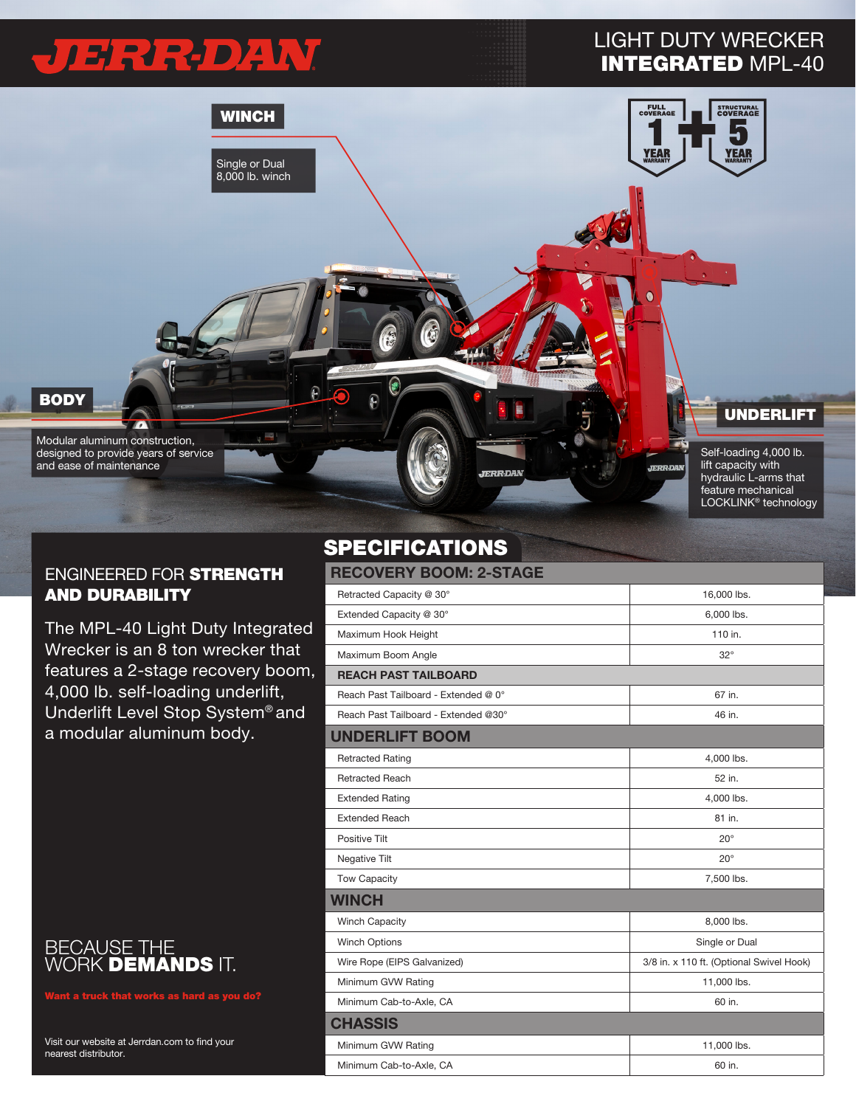# JERROZW

### LIGHT DUTY WRECKER INTEGRATED MPL-40



#### ENGINEERED FOR STRENGTH AND DURABILITY

The MPL-40 Light Duty Integrated Wrecker is an 8 ton wrecker that features a 2-stage recovery boom, 4,000 lb. self-loading underlift, Underlift Level Stop System® and a modular aluminum body.



Want a truck that works as hard as you do?

Visit our website at Jerrdan.com to find your nearest distributor.

## SPECIFICATIONS

| <b>RECOVERY BOOM: 2-STAGE</b>        |                                          |  |  |
|--------------------------------------|------------------------------------------|--|--|
| Retracted Capacity @ 30°             | 16,000 lbs.                              |  |  |
| Extended Capacity @ 30°              | 6,000 lbs.                               |  |  |
| Maximum Hook Height                  | 110 in.                                  |  |  |
| Maximum Boom Angle                   | $32^\circ$                               |  |  |
| <b>REACH PAST TAILBOARD</b>          |                                          |  |  |
| Reach Past Tailboard - Extended @ 0° | 67 in.                                   |  |  |
| Reach Past Tailboard - Extended @30° | 46 in.                                   |  |  |
| <b>UNDERLIFT BOOM</b>                |                                          |  |  |
| <b>Retracted Rating</b>              | 4,000 lbs.                               |  |  |
| <b>Retracted Reach</b>               | 52 in.                                   |  |  |
| <b>Extended Rating</b>               | 4,000 lbs.                               |  |  |
| <b>Extended Reach</b>                | 81 in.                                   |  |  |
| Positive Tilt                        | $20^{\circ}$                             |  |  |
| Negative Tilt                        | $20^{\circ}$                             |  |  |
| <b>Tow Capacity</b>                  | 7,500 lbs.                               |  |  |
| <b>WINCH</b>                         |                                          |  |  |
| <b>Winch Capacity</b>                | 8,000 lbs.                               |  |  |
| <b>Winch Options</b>                 | Single or Dual                           |  |  |
| Wire Rope (EIPS Galvanized)          | 3/8 in. x 110 ft. (Optional Swivel Hook) |  |  |
| Minimum GVW Rating                   | 11,000 lbs.                              |  |  |
| Minimum Cab-to-Axle, CA              | 60 in.                                   |  |  |
| <b>CHASSIS</b>                       |                                          |  |  |
| Minimum GVW Rating                   | 11,000 lbs.                              |  |  |
| Minimum Cab-to-Axle, CA              | 60 in.                                   |  |  |